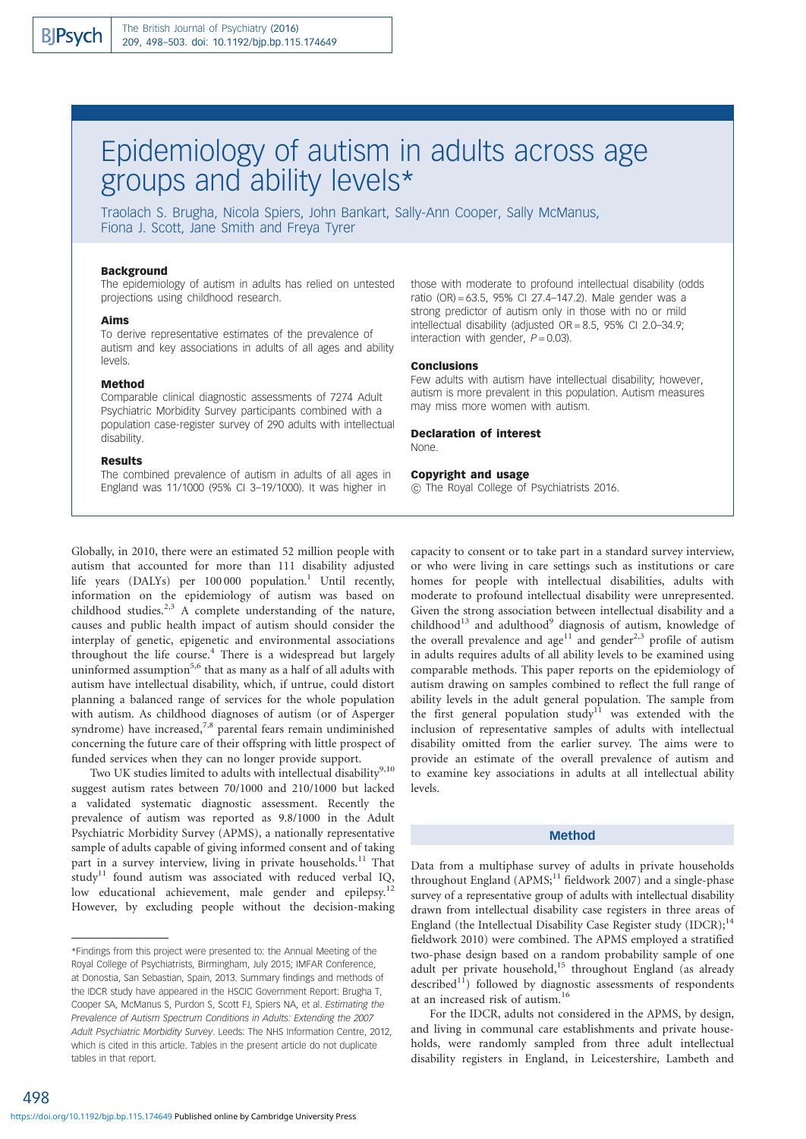# Epidemiology of autism in adults across age groups and ability levels\*

Traolach S. Brugha, Nicola Spiers, John Bankart, Sally-Ann Cooper, Sally McManus, Fiona J. Scott, Jane Smith and Freya Tyrer

#### Background

The epidemiology of autism in adults has relied on untested projections using childhood research.

#### Aims

To derive representative estimates of the prevalence of autism and key associations in adults of all ages and ability levels.

#### Method

Comparable clinical diagnostic assessments of 7274 Adult Psychiatric Morbidity Survey participants combined with a population case-register survey of 290 adults with intellectual disability.

#### Results

The combined prevalence of autism in adults of all ages in England was 11/1000 (95% CI 3–19/1000). It was higher in

those with moderate to profound intellectual disability (odds ratio (OR) = 63.5, 95% CI 27.4–147.2). Male gender was a strong predictor of autism only in those with no or mild intellectual disability (adjusted  $OR = 8.5$ , 95% CI 2.0-34.9; interaction with gender,  $P = 0.03$ ).

#### Conclusions

Few adults with autism have intellectual disability; however, autism is more prevalent in this population. Autism measures may miss more women with autism.

# Declaration of interest

None.

#### Copyright and usage

 $\odot$  The Royal College of Psychiatrists 2016.

Globally, in 2010, there were an estimated 52 million people with autism that accounted for more than 111 disability adjusted life years (DALYs) per  $100000$  population.<sup>1</sup> Until recently, information on the epidemiology of autism was based on childhood studies.<sup>2,3</sup> A complete understanding of the nature, causes and public health impact of autism should consider the interplay of genetic, epigenetic and environmental associations throughout the life course.<sup>4</sup> There is a widespread but largely uninformed assumption<sup>5,6</sup> that as many as a half of all adults with autism have intellectual disability, which, if untrue, could distort planning a balanced range of services for the whole population with autism. As childhood diagnoses of autism (or of Asperger syndrome) have increased, $7.8$  parental fears remain undiminished concerning the future care of their offspring with little prospect of funded services when they can no longer provide support.

Two UK studies limited to adults with intellectual disability<sup>9,10</sup> suggest autism rates between 70/1000 and 210/1000 but lacked a validated systematic diagnostic assessment. Recently the prevalence of autism was reported as 9.8/1000 in the Adult Psychiatric Morbidity Survey (APMS), a nationally representative sample of adults capable of giving informed consent and of taking part in a survey interview, living in private households. $11$  That study<sup>11</sup> found autism was associated with reduced verbal IQ, low educational achievement, male gender and epilepsy.<sup>1</sup> However, by excluding people without the decision-making

498

capacity to consent or to take part in a standard survey interview, or who were living in care settings such as institutions or care homes for people with intellectual disabilities, adults with moderate to profound intellectual disability were unrepresented. Given the strong association between intellectual disability and a childhood<sup>13</sup> and adulthood<sup>9</sup> diagnosis of autism, knowledge of the overall prevalence and age<sup>11</sup> and gender<sup>2,3</sup> profile of autism in adults requires adults of all ability levels to be examined using comparable methods. This paper reports on the epidemiology of autism drawing on samples combined to reflect the full range of ability levels in the adult general population. The sample from the first general population study<sup>11</sup> was extended with the inclusion of representative samples of adults with intellectual disability omitted from the earlier survey. The aims were to provide an estimate of the overall prevalence of autism and to examine key associations in adults at all intellectual ability levels.

#### Method

Data from a multiphase survey of adults in private households throughout England  $(APMS<sub>i</sub><sup>11</sup>$  fieldwork 2007) and a single-phase survey of a representative group of adults with intellectual disability drawn from intellectual disability case registers in three areas of England (the Intellectual Disability Case Register study (IDCR);<sup>14</sup> fieldwork 2010) were combined. The APMS employed a stratified two-phase design based on a random probability sample of one adult per private household,<sup>15</sup> throughout England (as already described $11$ ) followed by diagnostic assessments of respondents at an increased risk of autism.<sup>16</sup>

For the IDCR, adults not considered in the APMS, by design, and living in communal care establishments and private households, were randomly sampled from three adult intellectual disability registers in England, in Leicestershire, Lambeth and

<sup>\*</sup>Findings from this project were presented to: the Annual Meeting of the Royal College of Psychiatrists, Birmingham, July 2015; IMFAR Conference, at Donostia, San Sebastian, Spain, 2013. Summary findings and methods of the IDCR study have appeared in the HSCIC Government Report: Brugha T, Cooper SA, McManus S, Purdon S, Scott FJ, Spiers NA, et al. Estimating the Prevalence of Autism Spectrum Conditions in Adults: Extending the 2007 Adult Psychiatric Morbidity Survey. Leeds: The NHS Information Centre, 2012, which is cited in this article. Tables in the present article do not duplicate tables in that report.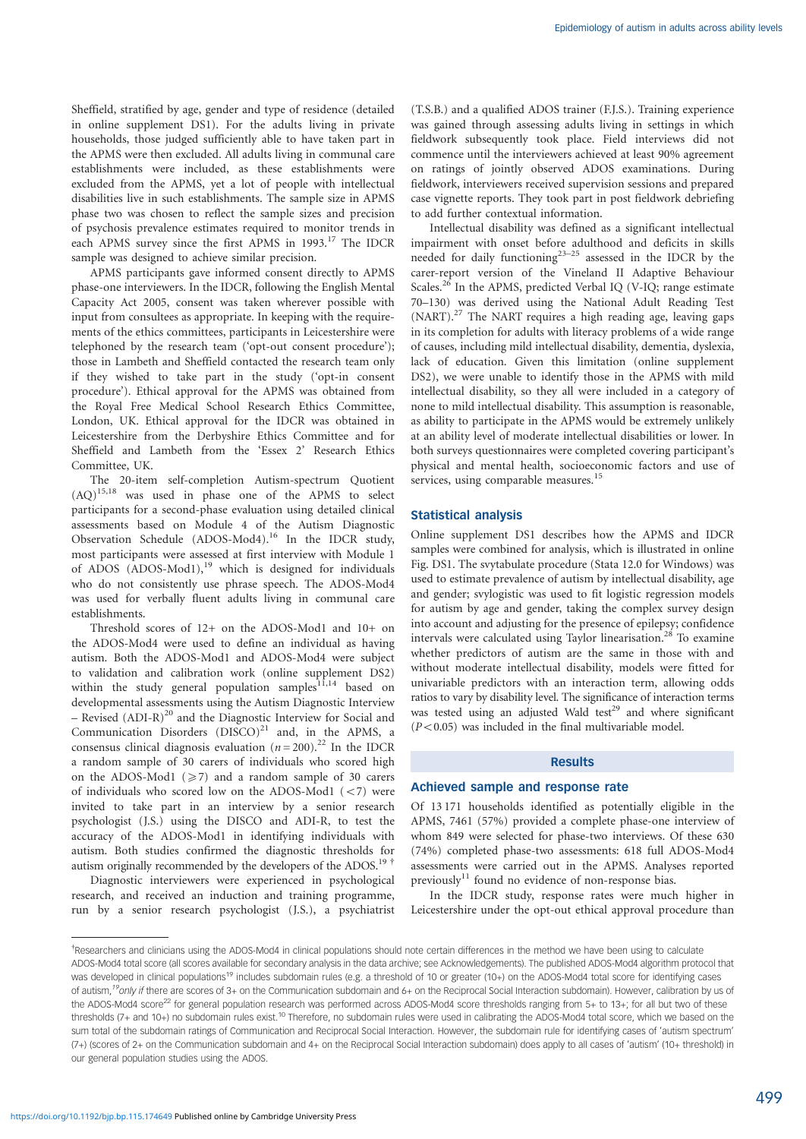Sheffield, stratified by age, gender and type of residence (detailed in online supplement DS1). For the adults living in private households, those judged sufficiently able to have taken part in the APMS were then excluded. All adults living in communal care establishments were included, as these establishments were excluded from the APMS, yet a lot of people with intellectual disabilities live in such establishments. The sample size in APMS phase two was chosen to reflect the sample sizes and precision of psychosis prevalence estimates required to monitor trends in each APMS survey since the first APMS in 1993.<sup>17</sup> The IDCR sample was designed to achieve similar precision.

APMS participants gave informed consent directly to APMS phase-one interviewers. In the IDCR, following the English Mental Capacity Act 2005, consent was taken wherever possible with input from consultees as appropriate. In keeping with the requirements of the ethics committees, participants in Leicestershire were telephoned by the research team ('opt-out consent procedure'); those in Lambeth and Sheffield contacted the research team only if they wished to take part in the study ('opt-in consent procedure'). Ethical approval for the APMS was obtained from the Royal Free Medical School Research Ethics Committee, London, UK. Ethical approval for the IDCR was obtained in Leicestershire from the Derbyshire Ethics Committee and for Sheffield and Lambeth from the 'Essex 2' Research Ethics Committee, UK.

The 20-item self-completion Autism-spectrum Quotient (AQ)15,18 was used in phase one of the APMS to select participants for a second-phase evaluation using detailed clinical assessments based on Module 4 of the Autism Diagnostic Observation Schedule (ADOS-Mod4).<sup>16</sup> In the IDCR study, most participants were assessed at first interview with Module 1 of ADOS (ADOS-Mod1),<sup>19</sup> which is designed for individuals who do not consistently use phrase speech. The ADOS-Mod4 was used for verbally fluent adults living in communal care establishments.

Threshold scores of 12+ on the ADOS-Mod1 and 10+ on the ADOS-Mod4 were used to define an individual as having autism. Both the ADOS-Mod1 and ADOS-Mod4 were subject to validation and calibration work (online supplement DS2) within the study general population samples $11,14$  based on developmental assessments using the Autism Diagnostic Interview  $-$  Revised (ADI-R)<sup>20</sup> and the Diagnostic Interview for Social and Communication Disorders  $(DISCO)^{21}$  and, in the APMS, a consensus clinical diagnosis evaluation ( $n = 200$ ).<sup>22</sup> In the IDCR a random sample of 30 carers of individuals who scored high on the ADOS-Mod1 (*5*7) and a random sample of 30 carers of individuals who scored low on the ADOS-Mod1  $(< 7)$  were invited to take part in an interview by a senior research psychologist (J.S.) using the DISCO and ADI-R, to test the accuracy of the ADOS-Mod1 in identifying individuals with autism. Both studies confirmed the diagnostic thresholds for autism originally recommended by the developers of the ADOS.<sup>19</sup>

Diagnostic interviewers were experienced in psychological research, and received an induction and training programme, run by a senior research psychologist (J.S.), a psychiatrist (T.S.B.) and a qualified ADOS trainer (F.J.S.). Training experience was gained through assessing adults living in settings in which fieldwork subsequently took place. Field interviews did not commence until the interviewers achieved at least 90% agreement on ratings of jointly observed ADOS examinations. During fieldwork, interviewers received supervision sessions and prepared case vignette reports. They took part in post fieldwork debriefing to add further contextual information.

Intellectual disability was defined as a significant intellectual impairment with onset before adulthood and deficits in skills needed for daily functioning<sup>23-25</sup> assessed in the IDCR by the carer-report version of the Vineland II Adaptive Behaviour Scales.<sup>26</sup> In the APMS, predicted Verbal IQ (V-IQ; range estimate 70–130) was derived using the National Adult Reading Test (NART).<sup>27</sup> The NART requires a high reading age, leaving gaps in its completion for adults with literacy problems of a wide range of causes, including mild intellectual disability, dementia, dyslexia, lack of education. Given this limitation (online supplement DS2), we were unable to identify those in the APMS with mild intellectual disability, so they all were included in a category of none to mild intellectual disability. This assumption is reasonable, as ability to participate in the APMS would be extremely unlikely at an ability level of moderate intellectual disabilities or lower. In both surveys questionnaires were completed covering participant's physical and mental health, socioeconomic factors and use of services, using comparable measures.<sup>15</sup>

#### Statistical analysis

Online supplement DS1 describes how the APMS and IDCR samples were combined for analysis, which is illustrated in online Fig. DS1. The svytabulate procedure (Stata 12.0 for Windows) was used to estimate prevalence of autism by intellectual disability, age and gender; svylogistic was used to fit logistic regression models for autism by age and gender, taking the complex survey design into account and adjusting for the presence of epilepsy; confidence intervals were calculated using Taylor linearisation.<sup>28</sup> To examine whether predictors of autism are the same in those with and without moderate intellectual disability, models were fitted for univariable predictors with an interaction term, allowing odds ratios to vary by disability level. The significance of interaction terms was tested using an adjusted Wald test<sup>29</sup> and where significant  $(P<0.05)$  was included in the final multivariable model.

#### Results

#### Achieved sample and response rate

Of 13 171 households identified as potentially eligible in the APMS, 7461 (57%) provided a complete phase-one interview of whom 849 were selected for phase-two interviews. Of these 630 (74%) completed phase-two assessments: 618 full ADOS-Mod4 assessments were carried out in the APMS. Analyses reported previously $11$  found no evidence of non-response bias.

In the IDCR study, response rates were much higher in Leicestershire under the opt-out ethical approval procedure than

<sup>{</sup> Researchers and clinicians using the ADOS-Mod4 in clinical populations should note certain differences in the method we have been using to calculate ADOS-Mod4 total score (all scores available for secondary analysis in the data archive; see Acknowledgements). The published ADOS-Mod4 algorithm protocol that was developed in clinical populations<sup>19</sup> includes subdomain rules (e.g. a threshold of 10 or greater (10+) on the ADOS-Mod4 total score for identifying cases of autism,<sup>19</sup>only if there are scores of 3+ on the Communication subdomain and 6+ on the Reciprocal Social Interaction subdomain). However, calibration by us of the ADOS-Mod4 score<sup>22</sup> for general population research was performed across ADOS-Mod4 score thresholds ranging from 5+ to 13+; for all but two of these thresholds (7+ and 10+) no subdomain rules exist.<sup>10</sup> Therefore, no subdomain rules were used in calibrating the ADOS-Mod4 total score, which we based on the sum total of the subdomain ratings of Communication and Reciprocal Social Interaction. However, the subdomain rule for identifying cases of 'autism spectrum' (7+) (scores of 2+ on the Communication subdomain and 4+ on the Reciprocal Social Interaction subdomain) does apply to all cases of 'autism' (10+ threshold) in our general population studies using the ADOS.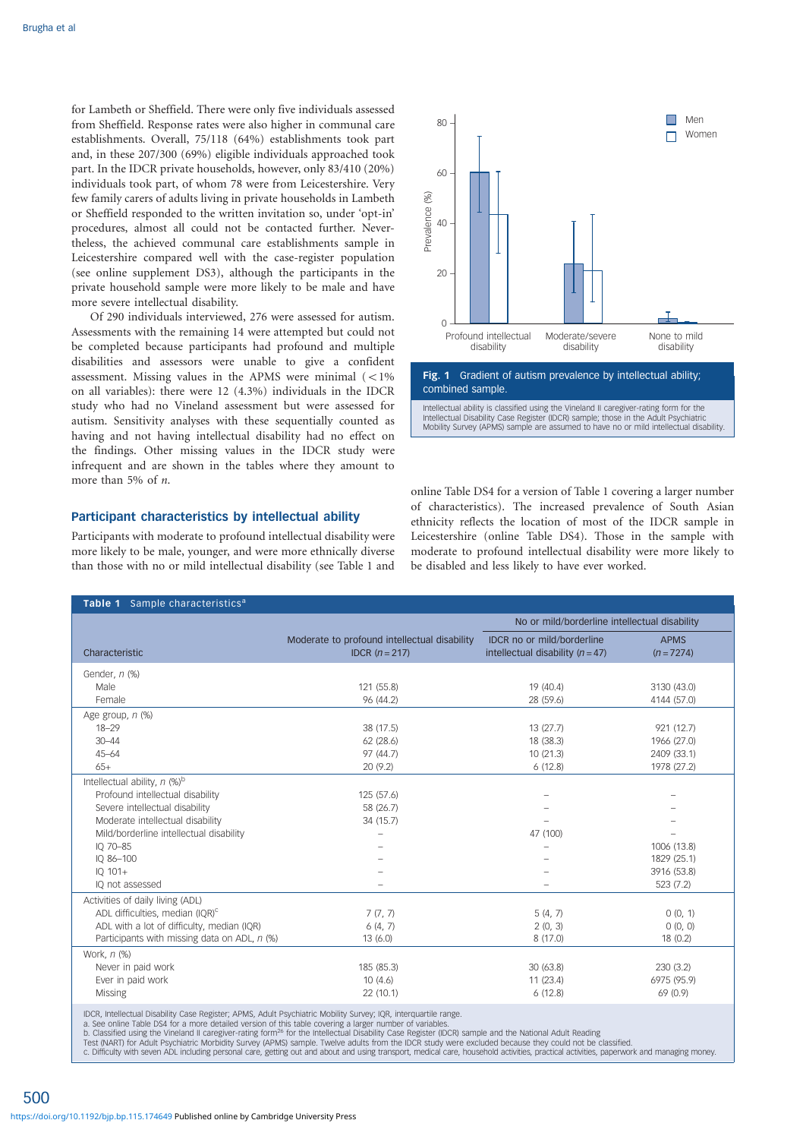for Lambeth or Sheffield. There were only five individuals assessed from Sheffield. Response rates were also higher in communal care establishments. Overall, 75/118 (64%) establishments took part and, in these 207/300 (69%) eligible individuals approached took part. In the IDCR private households, however, only 83/410 (20%) individuals took part, of whom 78 were from Leicestershire. Very few family carers of adults living in private households in Lambeth or Sheffield responded to the written invitation so, under 'opt-in' procedures, almost all could not be contacted further. Nevertheless, the achieved communal care establishments sample in Leicestershire compared well with the case-register population (see online supplement DS3), although the participants in the private household sample were more likely to be male and have more severe intellectual disability.

Of 290 individuals interviewed, 276 were assessed for autism. Assessments with the remaining 14 were attempted but could not be completed because participants had profound and multiple disabilities and assessors were unable to give a confident assessment. Missing values in the APMS were minimal  $(< 1\%$ on all variables): there were 12 (4.3%) individuals in the IDCR study who had no Vineland assessment but were assessed for autism. Sensitivity analyses with these sequentially counted as having and not having intellectual disability had no effect on the findings. Other missing values in the IDCR study were infrequent and are shown in the tables where they amount to more than 5% of *n*.

### Participant characteristics by intellectual ability

Participants with moderate to profound intellectual disability were more likely to be male, younger, and were more ethnically diverse than those with no or mild intellectual disability (see Table 1 and



online Table DS4 for a version of Table 1 covering a larger number of characteristics). The increased prevalence of South Asian ethnicity reflects the location of most of the IDCR sample in Leicestershire (online Table DS4). Those in the sample with moderate to profound intellectual disability were more likely to be disabled and less likely to have ever worked.

| Table 1 Sample characteristics <sup>a</sup>  |                                                                |                                                                  |                             |  |  |  |  |  |
|----------------------------------------------|----------------------------------------------------------------|------------------------------------------------------------------|-----------------------------|--|--|--|--|--|
|                                              |                                                                | No or mild/borderline intellectual disability                    |                             |  |  |  |  |  |
| Characteristic                               | Moderate to profound intellectual disability<br>IDCR $(n=217)$ | IDCR no or mild/borderline<br>intellectual disability $(n = 47)$ | <b>APMS</b><br>$(n = 7274)$ |  |  |  |  |  |
| Gender, n (%)                                |                                                                |                                                                  |                             |  |  |  |  |  |
| Male                                         | 121 (55.8)                                                     | 19 (40.4)                                                        | 3130 (43.0)                 |  |  |  |  |  |
| Female                                       | 96 (44.2)                                                      | 28 (59.6)                                                        | 4144 (57.0)                 |  |  |  |  |  |
| Age group, n (%)                             |                                                                |                                                                  |                             |  |  |  |  |  |
| $18 - 29$                                    | 38 (17.5)                                                      | 13(27.7)                                                         | 921 (12.7)                  |  |  |  |  |  |
| $30 - 44$                                    | 62(28.6)                                                       | 18 (38.3)                                                        | 1966 (27.0)                 |  |  |  |  |  |
| $45 - 64$                                    | 97 (44.7)                                                      | 10(21.3)                                                         | 2409 (33.1)                 |  |  |  |  |  |
| $65+$                                        | 20 (9.2)                                                       | 6(12.8)                                                          | 1978 (27.2)                 |  |  |  |  |  |
| Intellectual ability, n (%)b                 |                                                                |                                                                  |                             |  |  |  |  |  |
| Profound intellectual disability             | 125(57.6)                                                      |                                                                  |                             |  |  |  |  |  |
| Severe intellectual disability               | 58 (26.7)                                                      |                                                                  |                             |  |  |  |  |  |
| Moderate intellectual disability             | 34 (15.7)                                                      |                                                                  |                             |  |  |  |  |  |
| Mild/borderline intellectual disability      |                                                                | 47 (100)                                                         |                             |  |  |  |  |  |
| IQ 70-85                                     |                                                                |                                                                  | 1006 (13.8)                 |  |  |  |  |  |
| IQ 86-100                                    |                                                                |                                                                  | 1829 (25.1)                 |  |  |  |  |  |
| IQ 101+                                      |                                                                |                                                                  | 3916 (53.8)                 |  |  |  |  |  |
| IO not assessed                              |                                                                |                                                                  | 523 (7.2)                   |  |  |  |  |  |
| Activities of daily living (ADL)             |                                                                |                                                                  |                             |  |  |  |  |  |
| ADL difficulties, median (IQR) <sup>c</sup>  | 7(7, 7)                                                        | 5(4, 7)                                                          | 0(0, 1)                     |  |  |  |  |  |
| ADL with a lot of difficulty, median (IQR)   | 6(4, 7)                                                        | 2(0, 3)                                                          | 0(0, 0)                     |  |  |  |  |  |
| Participants with missing data on ADL, n (%) | 13(6.0)                                                        | 8(17.0)                                                          | 18(0.2)                     |  |  |  |  |  |
| Work, n (%)                                  |                                                                |                                                                  |                             |  |  |  |  |  |
| Never in paid work                           | 185 (85.3)                                                     | 30(63.8)                                                         | 230(3.2)                    |  |  |  |  |  |
| Ever in paid work                            | 10(4.6)                                                        | 11(23.4)                                                         | 6975 (95.9)                 |  |  |  |  |  |
| <b>Missing</b>                               | 22(10.1)                                                       | 6(12.8)                                                          | 69 (0.9)                    |  |  |  |  |  |
|                                              |                                                                |                                                                  |                             |  |  |  |  |  |

IDCR, Intellectual Disability Case Register; APMS, Adult Psychiatric Mobility Survey; IQR, interquartile range.

a. See online Table DS4 for a more detailed version of this table covering a larger number of variables.<br>b. Classified using the Vineland II caregiver-rating form<sup>26</sup> for the Intellectual Disability Case Register (IDCR) sa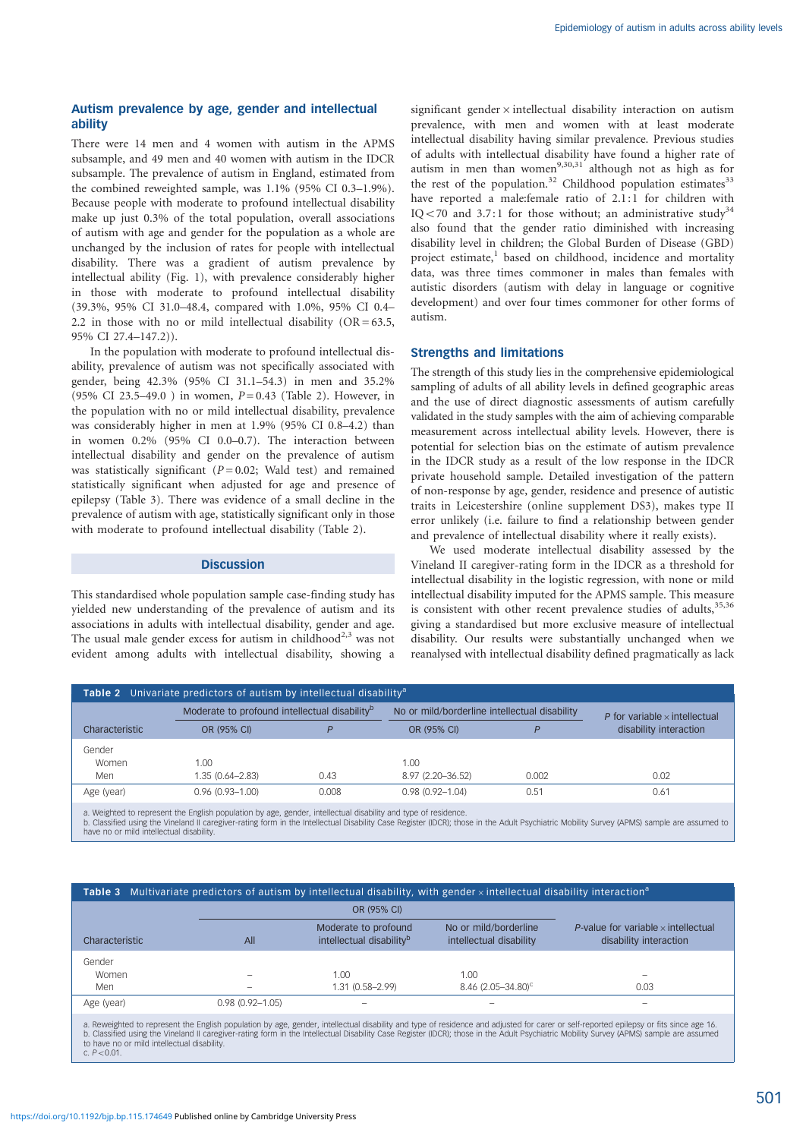# Autism prevalence by age, gender and intellectual ability

There were 14 men and 4 women with autism in the APMS subsample, and 49 men and 40 women with autism in the IDCR subsample. The prevalence of autism in England, estimated from the combined reweighted sample, was 1.1% (95% CI 0.3–1.9%). Because people with moderate to profound intellectual disability make up just 0.3% of the total population, overall associations of autism with age and gender for the population as a whole are unchanged by the inclusion of rates for people with intellectual disability. There was a gradient of autism prevalence by intellectual ability (Fig. 1), with prevalence considerably higher in those with moderate to profound intellectual disability (39.3%, 95% CI 31.0–48.4, compared with 1.0%, 95% CI 0.4– 2.2 in those with no or mild intellectual disability  $(OR = 63.5,$ 95% CI 27.4–147.2)).

In the population with moderate to profound intellectual disability, prevalence of autism was not specifically associated with gender, being 42.3% (95% CI 31.1–54.3) in men and 35.2% (95% CI 23.5–49.0) in women,  $P = 0.43$  (Table 2). However, in the population with no or mild intellectual disability, prevalence was considerably higher in men at 1.9% (95% CI 0.8–4.2) than in women 0.2% (95% CI 0.0–0.7). The interaction between intellectual disability and gender on the prevalence of autism was statistically significant ( $P = 0.02$ ; Wald test) and remained statistically significant when adjusted for age and presence of epilepsy (Table 3). There was evidence of a small decline in the prevalence of autism with age, statistically significant only in those with moderate to profound intellectual disability (Table 2).

#### **Discussion**

This standardised whole population sample case-finding study has yielded new understanding of the prevalence of autism and its associations in adults with intellectual disability, gender and age. The usual male gender excess for autism in childhood<sup>2,3</sup> was not evident among adults with intellectual disability, showing a significant gender $\times$  intellectual disability interaction on autism prevalence, with men and women with at least moderate intellectual disability having similar prevalence. Previous studies of adults with intellectual disability have found a higher rate of autism in men than women<sup>9,30,31</sup> although not as high as for the rest of the population.<sup>32</sup> Childhood population estimates<sup>33</sup> have reported a male:female ratio of 2.1:1 for children with IQ < 70 and 3.7:1 for those without; an administrative study<sup>34</sup> also found that the gender ratio diminished with increasing disability level in children; the Global Burden of Disease (GBD) project estimate,<sup>1</sup> based on childhood, incidence and mortality data, was three times commoner in males than females with autistic disorders (autism with delay in language or cognitive development) and over four times commoner for other forms of autism.

#### Strengths and limitations

The strength of this study lies in the comprehensive epidemiological sampling of adults of all ability levels in defined geographic areas and the use of direct diagnostic assessments of autism carefully validated in the study samples with the aim of achieving comparable measurement across intellectual ability levels. However, there is potential for selection bias on the estimate of autism prevalence in the IDCR study as a result of the low response in the IDCR private household sample. Detailed investigation of the pattern of non-response by age, gender, residence and presence of autistic traits in Leicestershire (online supplement DS3), makes type II error unlikely (i.e. failure to find a relationship between gender and prevalence of intellectual disability where it really exists).

We used moderate intellectual disability assessed by the Vineland II caregiver-rating form in the IDCR as a threshold for intellectual disability in the logistic regression, with none or mild intellectual disability imputed for the APMS sample. This measure is consistent with other recent prevalence studies of adults,  $35,36$ giving a standardised but more exclusive measure of intellectual disability. Our results were substantially unchanged when we reanalysed with intellectual disability defined pragmatically as lack

| <b>Table 2</b> Univariate predictors of autism by intellectual disability <sup>a</sup> |                                                           |       |                                               |       |                                      |  |  |  |  |
|----------------------------------------------------------------------------------------|-----------------------------------------------------------|-------|-----------------------------------------------|-------|--------------------------------------|--|--|--|--|
|                                                                                        | Moderate to profound intellectual disability <sup>b</sup> |       | No or mild/borderline intellectual disability |       | P for variable $\times$ intellectual |  |  |  |  |
| Characteristic                                                                         | OR (95% CI)                                               |       | OR (95% CI)                                   | D     | disability interaction               |  |  |  |  |
| Gender                                                                                 |                                                           |       |                                               |       |                                      |  |  |  |  |
| Women                                                                                  | 1.00                                                      |       | 1.00                                          |       |                                      |  |  |  |  |
| Men                                                                                    | $1.35(0.64 - 2.83)$                                       | 0.43  | 8.97 (2.20-36.52)                             | 0.002 | 0.02                                 |  |  |  |  |
| Age (year)                                                                             | $0.96(0.93 - 1.00)$                                       | 0.008 | $0.98(0.92 - 1.04)$                           | 0.51  | 0.61                                 |  |  |  |  |
|                                                                                        |                                                           |       |                                               |       |                                      |  |  |  |  |

a. Weighted to represent the English population by age, gender, intellectual disability and type of residence.<br>b. Classified using the Vineland II caregiver-rating form in the Intellectual Disability Case Register (IDCR);

## Table 3 Multivariate predictors of autism by intellectual disability, with gender  $\times$  intellectual disability interaction<sup>a</sup>

|                |                     | OR (95% CI)                                                  |                                                  |                                                                      |
|----------------|---------------------|--------------------------------------------------------------|--------------------------------------------------|----------------------------------------------------------------------|
| Characteristic | All                 | Moderate to profound<br>intellectual disability <sup>b</sup> | No or mild/borderline<br>intellectual disability | P-value for variable $\times$ intellectual<br>disability interaction |
| Gender         |                     |                                                              |                                                  |                                                                      |
| Women          |                     | 1.00                                                         | 1.00                                             | $\overline{\phantom{0}}$                                             |
| Men            | -                   | 1.31 (0.58-2.99)                                             | $8.46$ (2.05-34.80) <sup>c</sup>                 | 0.03                                                                 |
| Age (year)     | $0.98(0.92 - 1.05)$ |                                                              |                                                  |                                                                      |

a. Reweighted to represent the English population by age, gender, intellectual disability and type of residence and adjusted for carer or self-reported epilepsy or fits since age 16. b. Classified using the Vineland II caregiver-rating form in the Intellectual Disability Case Register (IDCR); those in the Adult Psychiatric Mobility Survey (APMS) sample are assumed<br>to have no or mild intellectual disabi  $c. P < 0.01$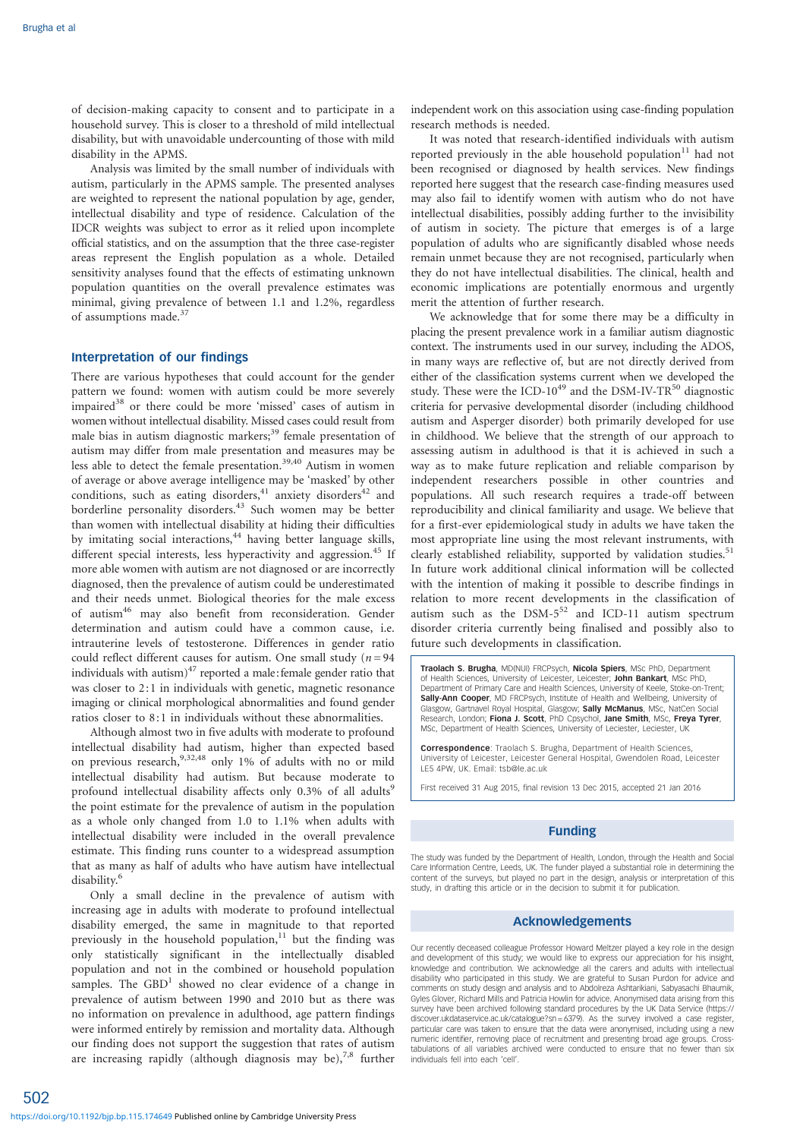of decision-making capacity to consent and to participate in a household survey. This is closer to a threshold of mild intellectual disability, but with unavoidable undercounting of those with mild disability in the APMS.

Analysis was limited by the small number of individuals with autism, particularly in the APMS sample. The presented analyses are weighted to represent the national population by age, gender, intellectual disability and type of residence. Calculation of the IDCR weights was subject to error as it relied upon incomplete official statistics, and on the assumption that the three case-register areas represent the English population as a whole. Detailed sensitivity analyses found that the effects of estimating unknown population quantities on the overall prevalence estimates was minimal, giving prevalence of between 1.1 and 1.2%, regardless of assumptions made.<sup>37</sup>

#### Interpretation of our findings

There are various hypotheses that could account for the gender pattern we found: women with autism could be more severely impaired<sup>38</sup> or there could be more 'missed' cases of autism in women without intellectual disability. Missed cases could result from male bias in autism diagnostic markers;<sup>39</sup> female presentation of autism may differ from male presentation and measures may be less able to detect the female presentation.<sup>39,40</sup> Autism in women of average or above average intelligence may be 'masked' by other conditions, such as eating disorders, $41$  anxiety disorders $42$  and borderline personality disorders.<sup>43</sup> Such women may be better than women with intellectual disability at hiding their difficulties by imitating social interactions,<sup>44</sup> having better language skills, different special interests, less hyperactivity and aggression.<sup>45</sup> If more able women with autism are not diagnosed or are incorrectly diagnosed, then the prevalence of autism could be underestimated and their needs unmet. Biological theories for the male excess of autism<sup>46</sup> may also benefit from reconsideration. Gender determination and autism could have a common cause, i.e. intrauterine levels of testosterone. Differences in gender ratio could reflect different causes for autism. One small study ( $n = 94$ ) individuals with autism) $47$  reported a male: female gender ratio that was closer to 2:1 in individuals with genetic, magnetic resonance imaging or clinical morphological abnormalities and found gender ratios closer to 8:1 in individuals without these abnormalities.

Although almost two in five adults with moderate to profound intellectual disability had autism, higher than expected based on previous research,9,32,48 only 1% of adults with no or mild intellectual disability had autism. But because moderate to profound intellectual disability affects only 0.3% of all adults<sup>9</sup> the point estimate for the prevalence of autism in the population as a whole only changed from 1.0 to 1.1% when adults with intellectual disability were included in the overall prevalence estimate. This finding runs counter to a widespread assumption that as many as half of adults who have autism have intellectual disability.<sup>6</sup>

Only a small decline in the prevalence of autism with increasing age in adults with moderate to profound intellectual disability emerged, the same in magnitude to that reported previously in the household population, $11$  but the finding was only statistically significant in the intellectually disabled population and not in the combined or household population samples. The  $GBD<sup>1</sup>$  showed no clear evidence of a change in prevalence of autism between 1990 and 2010 but as there was no information on prevalence in adulthood, age pattern findings were informed entirely by remission and mortality data. Although our finding does not support the suggestion that rates of autism are increasing rapidly (although diagnosis may be), $7.8$  further

independent work on this association using case-finding population research methods is needed.

It was noted that research-identified individuals with autism reported previously in the able household population $11$  had not been recognised or diagnosed by health services. New findings reported here suggest that the research case-finding measures used may also fail to identify women with autism who do not have intellectual disabilities, possibly adding further to the invisibility of autism in society. The picture that emerges is of a large population of adults who are significantly disabled whose needs remain unmet because they are not recognised, particularly when they do not have intellectual disabilities. The clinical, health and economic implications are potentially enormous and urgently merit the attention of further research.

We acknowledge that for some there may be a difficulty in placing the present prevalence work in a familiar autism diagnostic context. The instruments used in our survey, including the ADOS, in many ways are reflective of, but are not directly derived from either of the classification systems current when we developed the study. These were the ICD-10<sup>49</sup> and the DSM-IV-TR<sup>50</sup> diagnostic criteria for pervasive developmental disorder (including childhood autism and Asperger disorder) both primarily developed for use in childhood. We believe that the strength of our approach to assessing autism in adulthood is that it is achieved in such a way as to make future replication and reliable comparison by independent researchers possible in other countries and populations. All such research requires a trade-off between reproducibility and clinical familiarity and usage. We believe that for a first-ever epidemiological study in adults we have taken the most appropriate line using the most relevant instruments, with clearly established reliability, supported by validation studies.<sup>51</sup> In future work additional clinical information will be collected with the intention of making it possible to describe findings in relation to more recent developments in the classification of autism such as the  $DSM-5^{52}$  and ICD-11 autism spectrum disorder criteria currently being finalised and possibly also to future such developments in classification.

Traolach S. Brugha, MD(NUI) FRCPsych, Nicola Spiers, MSc PhD, Department of Health Sciences, University of Leicester, Leicester; John Bankart, MSc PhD, Department of Primary Care and Health Sciences, University of Keele, Stoke-on-Trent; Sally-Ann Cooper, MD FRCPsych, Institute of Health and Wellbeing, University of Glasgow, Gartnavel Royal Hospital, Glasgow; Sally McManus, MSc, NatCen Social Research, London; Fiona J. Scott, PhD Cpsychol, Jane Smith, MSc, Freya Tyrer, MSc, Department of Health Sciences, University of Leciester, Leciester, UK

Correspondence: Traolach S. Brugha, Department of Health Sciences, University of Leicester, Leicester General Hospital, Gwendolen Road, Leicester LE5 4PW, UK. Email: tsb@le.ac.uk

First received 31 Aug 2015, final revision 13 Dec 2015, accepted 21 Jan 2016

#### Funding

The study was funded by the Department of Health, London, through the Health and Social Care Information Centre, Leeds, UK. The funder played a substantial role in determining the content of the surveys, but played no part in the design, analysis or interpretation of this study, in drafting this article or in the decision to submit it for publication.

#### Acknowledgements

Our recently deceased colleague Professor Howard Meltzer played a key role in the design and development of this study; we would like to express our appreciation for his insight, knowledge and contribution. We acknowledge all the carers and adults with intellectual disability who participated in this study. We are grateful to Susan Purdon for advice and comments on study design and analysis and to Abdolreza Ashtarikiani, Sabyasachi Bhaumik, Gyles Glover, Richard Mills and Patricia Howlin for advice. Anonymised data arising from this survey have been archived following standard procedures by the UK Data Service (https:// discover.ukdataservice.ac.uk/catalogue?sn = 6379). As the survey involved a case register, particular care was taken to ensure that the data were anonymised, including using a new numeric identifier, removing place of recruitment and presenting broad age groups. Cross-tabulations of all variables archived were conducted to ensure that no fewer than six individuals fell into each 'cell'.